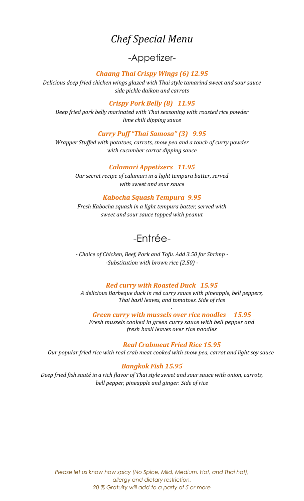# *Chef Special Menu*

# -Appetizer-

### *Chaang Thai Crispy Wings (6) 12.95*

*Delicious deep fried chicken wings glazed with Thai style tamarind sweet and sour sauce side pickle daikon and carrots*

### *Crispy Pork Belly (8) 11.95*

*Deep fried pork belly marinated with Thai seasoning with roasted rice powder lime chili dipping sauce*

### *Curry Puff "Thai Samosa" (3) 9.95*

*Wrapper Stuffed with potatoes, carrots, snow pea and a touch of curry powder with cucumber carrot dipping sauce*

### *Calamari Appetizers 11.95*

*Our secret recipe of calamari in a light tempura batter, served with sweet and sour sauce* 

### *Kabocha Squash Tempura 9.95*

*Fresh Kabocha squash in a light tempura batter, served with sweet and sour sauce topped with peanut*

# -Entrée-

*- Choice of Chicken, Beef, Pork and Tofu. Add 3.50 for Shrimp - -Substitution with brown rice (2.50) -*

#### *Red curry with Roasted Duck 15.95*

*A delicious Barbeque duck in red curry sauce with pineapple, bell peppers, Thai basil leaves, and tomatoes. Side of rice*

*. Green curry with mussels over rice noodles 15.95* 

*Fresh mussels cooked in green curry sauce with bell pepper and fresh basil leaves over rice noodles*

#### *Real Crabmeat Fried Rice 15.95*

*Our popular fried rice with real crab meat cooked with snow pea, carrot and light soy sauce*

### *Bangkok Fish 15.95*

*Deep fried fish sauté in a rich flavor of Thai style sweet and sour sauce with onion, carrots, bell pepper, pineapple and ginger. Side of rice*

*Please let us know how spicy (No Spice, Mild, Medium, Hot, and Thai hot), allergy and dietary restriction. 20 % Gratuity will add to a party of 5 or more*